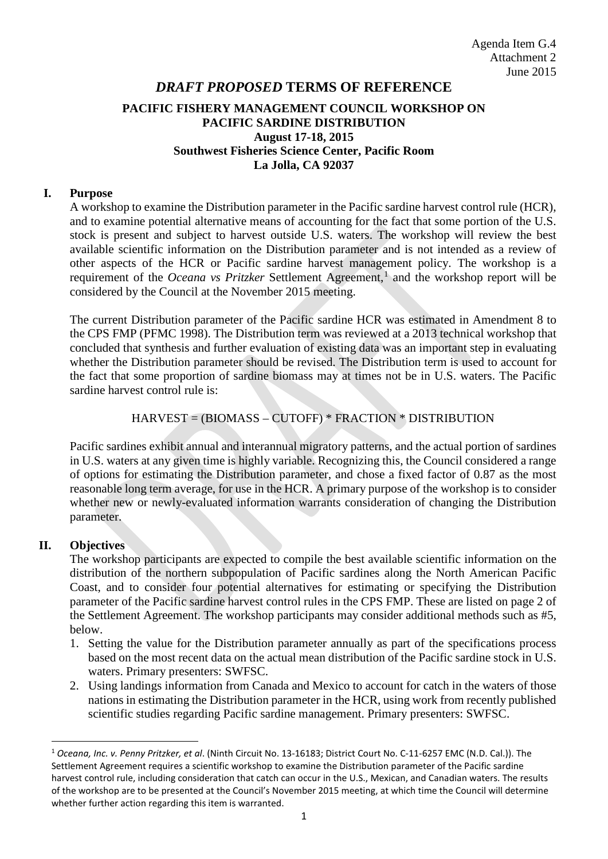# *DRAFT PROPOSED* **TERMS OF REFERENCE PACIFIC FISHERY MANAGEMENT COUNCIL WORKSHOP ON PACIFIC SARDINE DISTRIBUTION August 17-18, 2015 Southwest Fisheries Science Center, Pacific Room La Jolla, CA 92037**

#### **I. Purpose**

A workshop to examine the Distribution parameter in the Pacific sardine harvest control rule (HCR), and to examine potential alternative means of accounting for the fact that some portion of the U.S. stock is present and subject to harvest outside U.S. waters. The workshop will review the best available scientific information on the Distribution parameter and is not intended as a review of other aspects of the HCR or Pacific sardine harvest management policy. The workshop is a requirement of the *Oceana vs Pritzker* Settlement Agreement, [1](#page-0-0) and the workshop report will be considered by the Council at the November 2015 meeting.

The current Distribution parameter of the Pacific sardine HCR was estimated in Amendment 8 to the CPS FMP (PFMC 1998). The Distribution term was reviewed at a 2013 technical workshop that concluded that synthesis and further evaluation of existing data was an important step in evaluating whether the Distribution parameter should be revised. The Distribution term is used to account for the fact that some proportion of sardine biomass may at times not be in U.S. waters. The Pacific sardine harvest control rule is:

### HARVEST = (BIOMASS – CUTOFF) \* FRACTION \* DISTRIBUTION

Pacific sardines exhibit annual and interannual migratory patterns, and the actual portion of sardines in U.S. waters at any given time is highly variable. Recognizing this, the Council considered a range of options for estimating the Distribution parameter, and chose a fixed factor of 0.87 as the most reasonable long term average, for use in the HCR. A primary purpose of the workshop is to consider whether new or newly-evaluated information warrants consideration of changing the Distribution parameter.

### **II. Objectives**

The workshop participants are expected to compile the best available scientific information on the distribution of the northern subpopulation of Pacific sardines along the North American Pacific Coast, and to consider four potential alternatives for estimating or specifying the Distribution parameter of the Pacific sardine harvest control rules in the CPS FMP. These are listed on page 2 of the Settlement Agreement. The workshop participants may consider additional methods such as #5, below.

- 1. Setting the value for the Distribution parameter annually as part of the specifications process based on the most recent data on the actual mean distribution of the Pacific sardine stock in U.S. waters. Primary presenters: SWFSC.
- 2. Using landings information from Canada and Mexico to account for catch in the waters of those nations in estimating the Distribution parameter in the HCR, using work from recently published scientific studies regarding Pacific sardine management. Primary presenters: SWFSC.

<span id="page-0-0"></span> <sup>1</sup> *Oceana, Inc. v. Penny Pritzker, et al*. (Ninth Circuit No. 13-16183; District Court No. C-11-6257 EMC (N.D. Cal.)). The Settlement Agreement requires a scientific workshop to examine the Distribution parameter of the Pacific sardine harvest control rule, including consideration that catch can occur in the U.S., Mexican, and Canadian waters. The results of the workshop are to be presented at the Council's November 2015 meeting, at which time the Council will determine whether further action regarding this item is warranted.